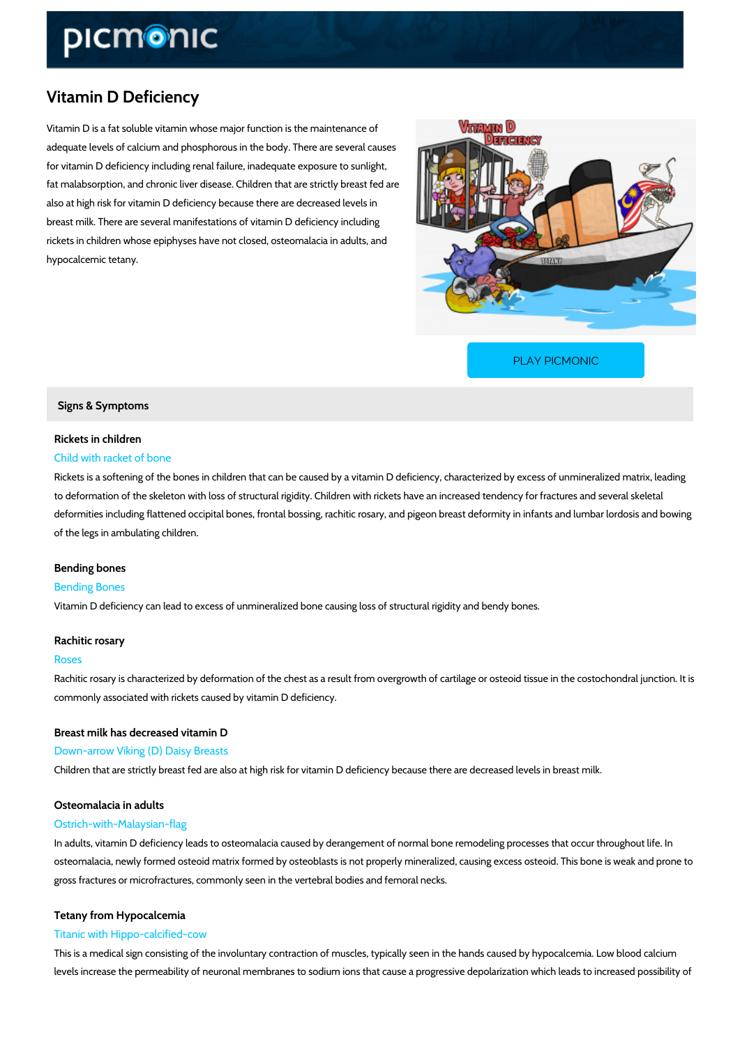# Vitamin D Deficiency

Vitamin D is a fat soluble vitamin whose major function is the maintenance of adequate levels of calcium and phosphorous in the body. There are several causes for vitamin D deficiency including renal failure, inadequate exposure to sunlight, fat malabsorption, and chronic liver disease. Children that are strictly breast fed are also at high risk for vitamin D deficiency because there are decreased levels in breast milk. There are several manifestations of vitamin D deficiency including rickets in children whose epiphyses have not closed, osteomalacia in adults, and hypocalcemic tetany.

[PLAY PICMONIC](https://www.picmonic.com/learn/vitamin-d-deficiency_368?utm_source=downloadable_content&utm_medium=distributedcontent&utm_campaign=pathways_pdf&utm_content=Vitamin D Deficiency&utm_ad_group=leads&utm_market=all)

Signs & Symptoms

## Rickets in children Child with racket of bone

Rickets is a softening of the bones in children that can be caused by a vitamin D deficiency, to deformation of the skeleton with loss of structural rigidity. Children with rickets have an in deformities including flattened occipital bones, frontal bossing, rachitic rosary, and pigeon br of the legs in ambulating children.

# Bending bones

## Bending Bones

Vitamin D deficiency can lead to excess of unmineralized bone causing loss of structural rigid

## Rachitic rosary

#### Roses

Rachitic rosary is characterized by deformation of the chest as a result from overgrowth of ca commonly associated with rickets caused by vitamin D deficiency.

Breast milk has decreased vitamin D Down-arrow Viking (D) Daisy Breasts Children that are strictly breast fed are also at high risk for vitamin D deficiency because the

# Osteomalacia in adults

## Ostrich-with-Malaysian-flag

In adults, vitamin D deficiency leads to osteomalacia caused by derangement of normal bone r osteomalacia, newly formed osteoid matrix formed by osteoblasts is not properly mineralized, gross fractures or microfractures, commonly seen in the vertebral bodies and femoral necks.

## Tetany from Hypocalcemia

## Titanic with Hippo-calcified-cow

This is a medical sign consisting of the involuntary contraction of muscles, typically seen in t levels increase the permeability of neuronal membranes to sodium ions that cause a progressi